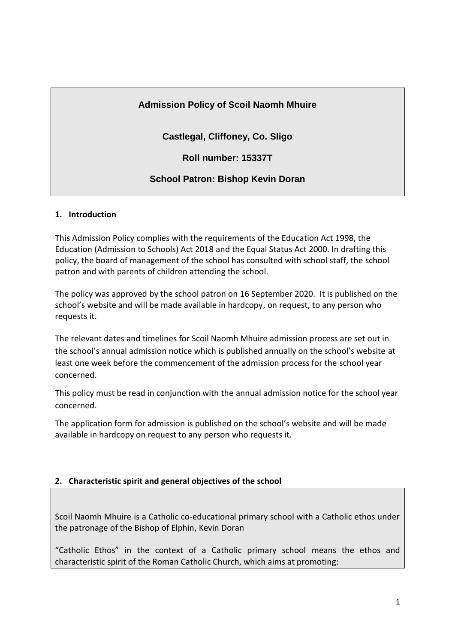# **Admission Policy of Scoil Naomh Mhuire**

**Castlegal, Cliffoney, Co. Sligo**

**Roll number: 15337T**

**School Patron: Bishop Kevin Doran**

# **1. Introduction**

This Admission Policy complies with the requirements of the Education Act 1998, the Education (Admission to Schools) Act 2018 and the Equal Status Act 2000. In drafting this policy, the board of management of the school has consulted with school staff, the school patron and with parents of children attending the school.

The policy was approved by the school patron on 16 September 2020. It is published on the school's website and will be made available in hardcopy, on request, to any person who requests it.

The relevant dates and timelines for Scoil Naomh Mhuire admission process are set out in the school's annual admission notice which is published annually on the school's website at least one week before the commencement of the admission process for the school year concerned.

This policy must be read in conjunction with the annual admission notice for the school year concerned.

The application form for admission is published on the school's website and will be made available in hardcopy on request to any person who requests it.

# **2. Characteristic spirit and general objectives of the school**

Scoil Naomh Mhuire is a Catholic co-educational primary school with a Catholic ethos under the patronage of the Bishop of Elphin, Kevin Doran

"Catholic Ethos" in the context of a Catholic primary school means the ethos and characteristic spirit of the Roman Catholic Church, which aims at promoting: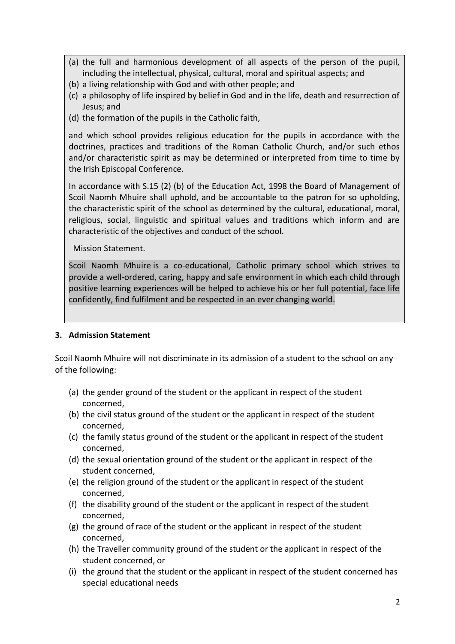- (a) the full and harmonious development of all aspects of the person of the pupil, including the intellectual, physical, cultural, moral and spiritual aspects; and
- (b) a living relationship with God and with other people; and
- (c) a philosophy of life inspired by belief in God and in the life, death and resurrection of Jesus; and
- (d) the formation of the pupils in the Catholic faith,

and which school provides religious education for the pupils in accordance with the doctrines, practices and traditions of the Roman Catholic Church, and/or such ethos and/or characteristic spirit as may be determined or interpreted from time to time by the Irish Episcopal Conference.

In accordance with S.15 (2) (b) of the Education Act, 1998 the Board of Management of Scoil Naomh Mhuire shall uphold, and be accountable to the patron for so upholding, the characteristic spirit of the school as determined by the cultural, educational, moral, religious, social, linguistic and spiritual values and traditions which inform and are characteristic of the objectives and conduct of the school.

Mission Statement.

Scoil Naomh Mhuire is a co-educational, Catholic primary school which strives to provide a well-ordered, caring, happy and safe environment in which each child through positive learning experiences will be helped to achieve his or her full potential, face life confidently, find fulfilment and be respected in an ever changing world.

## **3. Admission Statement**

Scoil Naomh Mhuire will not discriminate in its admission of a student to the school on any of the following:

- (a) the gender ground of the student or the applicant in respect of the student concerned,
- (b) the civil status ground of the student or the applicant in respect of the student concerned,
- (c) the family status ground of the student or the applicant in respect of the student concerned,
- (d) the sexual orientation ground of the student or the applicant in respect of the student concerned,
- (e) the religion ground of the student or the applicant in respect of the student concerned,
- (f) the disability ground of the student or the applicant in respect of the student concerned,
- (g) the ground of race of the student or the applicant in respect of the student concerned,
- (h) the Traveller community ground of the student or the applicant in respect of the student concerned, or
- (i) the ground that the student or the applicant in respect of the student concerned has special educational needs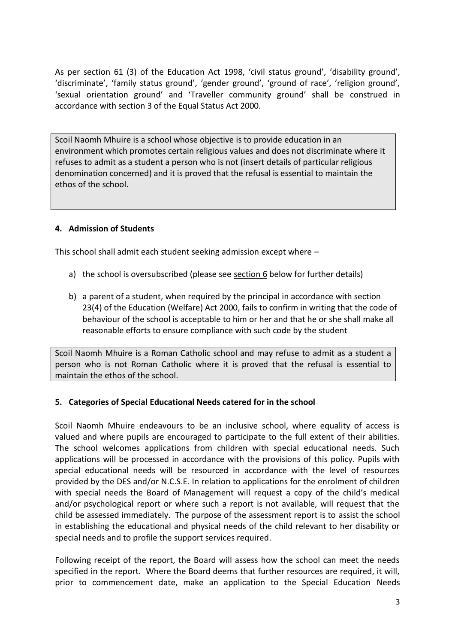As per section 61 (3) of the Education Act 1998, 'civil status ground', 'disability ground', 'discriminate', 'family status ground', 'gender ground', 'ground of race', 'religion ground', 'sexual orientation ground' and 'Traveller community ground' shall be construed in accordance with section 3 of the Equal Status Act 2000.

Scoil Naomh Mhuire is a school whose objective is to provide education in an environment which promotes certain religious values and does not discriminate where it refuses to admit as a student a person who is not (insert details of particular religious denomination concerned) and it is proved that the refusal is essential to maintain the ethos of the school.

# **4. Admission of Students**

This school shall admit each student seeking admission except where –

- a) the school is oversubscribed (please see [section 6](#page-3-0) below for further details)
- b) a parent of a student, when required by the principal in accordance with section 23(4) of the Education (Welfare) Act 2000, fails to confirm in writing that the code of behaviour of the school is acceptable to him or her and that he or she shall make all reasonable efforts to ensure compliance with such code by the student

Scoil Naomh Mhuire is a Roman Catholic school and may refuse to admit as a student a person who is not Roman Catholic where it is proved that the refusal is essential to maintain the ethos of the school.

## **5. Categories of Special Educational Needs catered for in the school**

Scoil Naomh Mhuire endeavours to be an inclusive school, where equality of access is valued and where pupils are encouraged to participate to the full extent of their abilities. The school welcomes applications from children with special educational needs. Such applications will be processed in accordance with the provisions of this policy. Pupils with special educational needs will be resourced in accordance with the level of resources provided by the DES and/or N.C.S.E. In relation to applications for the enrolment of children with special needs the Board of Management will request a copy of the child's medical and/or psychological report or where such a report is not available, will request that the child be assessed immediately. The purpose of the assessment report is to assist the school in establishing the educational and physical needs of the child relevant to her disability or special needs and to profile the support services required.

Following receipt of the report, the Board will assess how the school can meet the needs specified in the report. Where the Board deems that further resources are required, it will, prior to commencement date, make an application to the Special Education Needs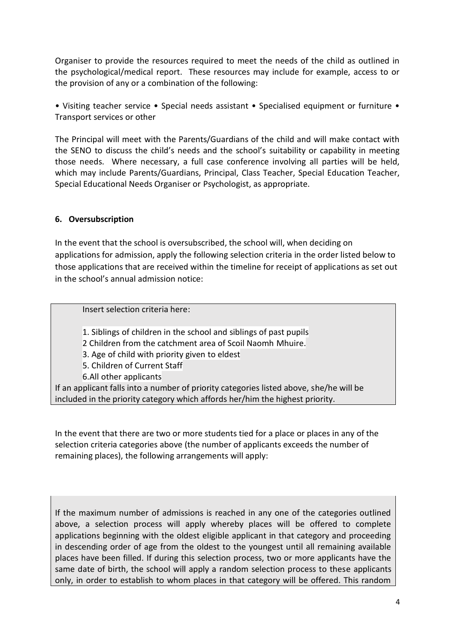Organiser to provide the resources required to meet the needs of the child as outlined in the psychological/medical report. These resources may include for example, access to or the provision of any or a combination of the following:

• Visiting teacher service • Special needs assistant • Specialised equipment or furniture • Transport services or other

The Principal will meet with the Parents/Guardians of the child and will make contact with the SENO to discuss the child's needs and the school's suitability or capability in meeting those needs. Where necessary, a full case conference involving all parties will be held, which may include Parents/Guardians, Principal, Class Teacher, Special Education Teacher, Special Educational Needs Organiser or Psychologist, as appropriate.

## <span id="page-3-0"></span>**6. Oversubscription**

In the event that the school is oversubscribed, the school will, when deciding on applications for admission, apply the following selection criteria in the order listed below to those applications that are received within the timeline for receipt of applications as set out in the school's annual admission notice:

Insert selection criteria here:

1. Siblings of children in the school and siblings of past pupils

- 2 Children from the catchment area of Scoil Naomh Mhuire.
- 3. Age of child with priority given to eldest
- 5. Children of Current Staff
- 6.All other applicants

If an applicant falls into a number of priority categories listed above, she/he will be included in the priority category which affords her/him the highest priority.

In the event that there are two or more students tied for a place or places in any of the selection criteria categories above (the number of applicants exceeds the number of remaining places), the following arrangements will apply:

If the maximum number of admissions is reached in any one of the categories outlined above, a selection process will apply whereby places will be offered to complete applications beginning with the oldest eligible applicant in that category and proceeding in descending order of age from the oldest to the youngest until all remaining available places have been filled. If during this selection process, two or more applicants have the same date of birth, the school will apply a random selection process to these applicants only, in order to establish to whom places in that category will be offered. This random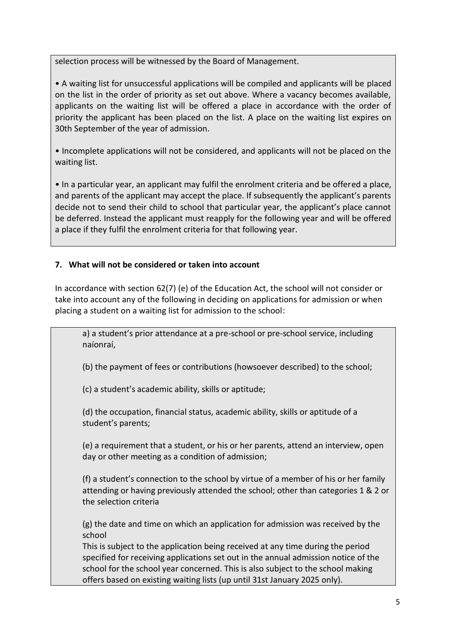selection process will be witnessed by the Board of Management.

• A waiting list for unsuccessful applications will be compiled and applicants will be placed on the list in the order of priority as set out above. Where a vacancy becomes available, applicants on the waiting list will be offered a place in accordance with the order of priority the applicant has been placed on the list. A place on the waiting list expires on 30th September of the year of admission.

• Incomplete applications will not be considered, and applicants will not be placed on the waiting list.

• In a particular year, an applicant may fulfil the enrolment criteria and be offered a place, and parents of the applicant may accept the place. If subsequently the applicant's parents decide not to send their child to school that particular year, the applicant's place cannot be deferred. Instead the applicant must reapply for the following year and will be offered a place if they fulfil the enrolment criteria for that following year.

# **7. What will not be considered or taken into account**

In accordance with section 62(7) (e) of the Education Act, the school will not consider or take into account any of the following in deciding on applications for admission or when placing a student on a waiting list for admission to the school:

a) a student's prior attendance at a pre-school or pre-school service, including naíonraí,

(b) the payment of fees or contributions (howsoever described) to the school;

(c) a student's academic ability, skills or aptitude;

(d) the occupation, financial status, academic ability, skills or aptitude of a student's parents;

(e) a requirement that a student, or his or her parents, attend an interview, open day or other meeting as a condition of admission;

(f) a student's connection to the school by virtue of a member of his or her family attending or having previously attended the school; other than categories 1 & 2 or the selection criteria

(g) the date and time on which an application for admission was received by the school

This is subject to the application being received at any time during the period specified for receiving applications set out in the annual admission notice of the school for the school year concerned. This is also subject to the school making offers based on existing waiting lists (up until 31st January 2025 only).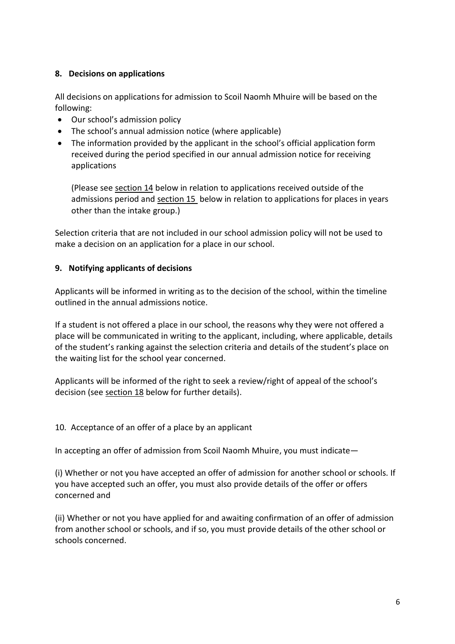# **8. Decisions on applications**

All decisions on applications for admission to Scoil Naomh Mhuire will be based on the following:

- Our school's admission policy
- The school's annual admission notice (where applicable)
- The information provided by the applicant in the school's official application form received during the period specified in our annual admission notice for receiving applications

(Please see [section 14](#page-7-0) below in relation to applications received outside of the admissions period and [section 15](#page-8-0) below in relation to applications for places in years other than the intake group.)

Selection criteria that are not included in our school admission policy will not be used to make a decision on an application for a place in our school.

## **9. Notifying applicants of decisions**

Applicants will be informed in writing as to the decision of the school, within the timeline outlined in the annual admissions notice.

If a student is not offered a place in our school, the reasons why they were not offered a place will be communicated in writing to the applicant, including, where applicable, details of the student's ranking against the selection criteria and details of the student's place on the waiting list for the school year concerned.

Applicants will be informed of the right to seek a review/right of appeal of the school's decision (see [section 18](#page-9-0) below for further details).

## <span id="page-5-0"></span>10. Acceptance of an offer of a place by an applicant

In accepting an offer of admission from Scoil Naomh Mhuire, you must indicate—

(i) Whether or not you have accepted an offer of admission for another school or schools. If you have accepted such an offer, you must also provide details of the offer or offers concerned and

(ii) Whether or not you have applied for and awaiting confirmation of an offer of admission from another school or schools, and if so, you must provide details of the other school or schools concerned.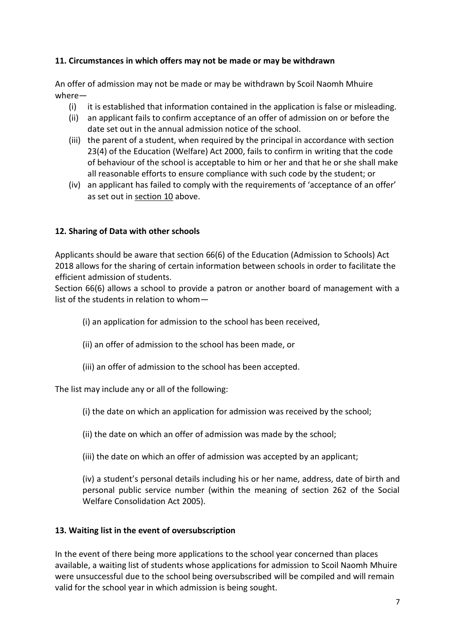# **11. Circumstances in which offers may not be made or may be withdrawn**

An offer of admission may not be made or may be withdrawn by Scoil Naomh Mhuire where—

- (i) it is established that information contained in the application is false or misleading.
- (ii) an applicant fails to confirm acceptance of an offer of admission on or before the date set out in the annual admission notice of the school.
- (iii) the parent of a student, when required by the principal in accordance with section 23(4) of the Education (Welfare) Act 2000, fails to confirm in writing that the code of behaviour of the school is acceptable to him or her and that he or she shall make all reasonable efforts to ensure compliance with such code by the student; or
- (iv) an applicant has failed to comply with the requirements of 'acceptance of an offer' as set out in [section 10](#page-5-0) above.

## **12. Sharing of Data with other schools**

Applicants should be aware that section 66(6) of the Education (Admission to Schools) Act 2018 allows for the sharing of certain information between schools in order to facilitate the efficient admission of students.

Section 66(6) allows a school to provide a patron or another board of management with a list of the students in relation to whom—

- (i) an application for admission to the school has been received,
- (ii) an offer of admission to the school has been made, or
- (iii) an offer of admission to the school has been accepted.

The list may include any or all of the following:

- (i) the date on which an application for admission was received by the school;
- (ii) the date on which an offer of admission was made by the school;
- (iii) the date on which an offer of admission was accepted by an applicant;

(iv) a student's personal details including his or her name, address, date of birth and personal public service number (within the meaning of section 262 of the Social Welfare Consolidation Act 2005).

#### **13. Waiting list in the event of oversubscription**

In the event of there being more applications to the school year concerned than places available, a waiting list of students whose applications for admission to Scoil Naomh Mhuire were unsuccessful due to the school being oversubscribed will be compiled and will remain valid for the school year in which admission is being sought.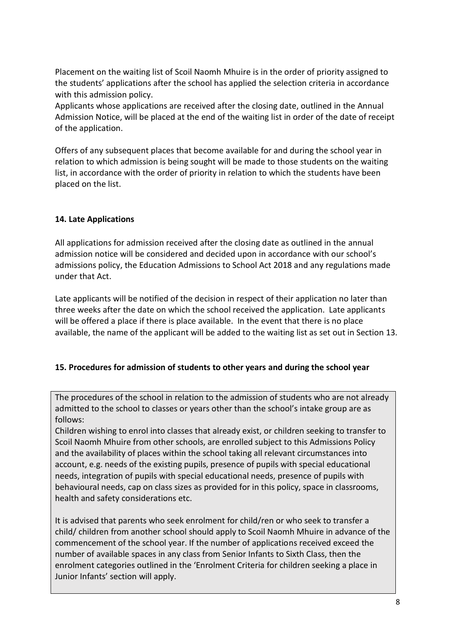Placement on the waiting list of Scoil Naomh Mhuire is in the order of priority assigned to the students' applications after the school has applied the selection criteria in accordance with this admission policy.

Applicants whose applications are received after the closing date, outlined in the Annual Admission Notice, will be placed at the end of the waiting list in order of the date of receipt of the application.

Offers of any subsequent places that become available for and during the school year in relation to which admission is being sought will be made to those students on the waiting list, in accordance with the order of priority in relation to which the students have been placed on the list.

# **14. Late Applications**

All applications for admission received after the closing date as outlined in the annual admission notice will be considered and decided upon in accordance with our school's admissions policy, the Education Admissions to School Act 2018 and any regulations made under that Act.

Late applicants will be notified of the decision in respect of their application no later than three weeks after the date on which the school received the application. Late applicants will be offered a place if there is place available. In the event that there is no place available, the name of the applicant will be added to the waiting list as set out in Section 13.

# <span id="page-7-0"></span>**15. Procedures for admission of students to other years and during the school year**

The procedures of the school in relation to the admission of students who are not already admitted to the school to classes or years other than the school's intake group are as follows:

Children wishing to enrol into classes that already exist, or children seeking to transfer to Scoil Naomh Mhuire from other schools, are enrolled subject to this Admissions Policy and the availability of places within the school taking all relevant circumstances into account, e.g. needs of the existing pupils, presence of pupils with special educational needs, integration of pupils with special educational needs, presence of pupils with behavioural needs, cap on class sizes as provided for in this policy, space in classrooms, health and safety considerations etc.

It is advised that parents who seek enrolment for child/ren or who seek to transfer a child/ children from another school should apply to Scoil Naomh Mhuire in advance of the commencement of the school year. If the number of applications received exceed the number of available spaces in any class from Senior Infants to Sixth Class, then the enrolment categories outlined in the 'Enrolment Criteria for children seeking a place in Junior Infants' section will apply.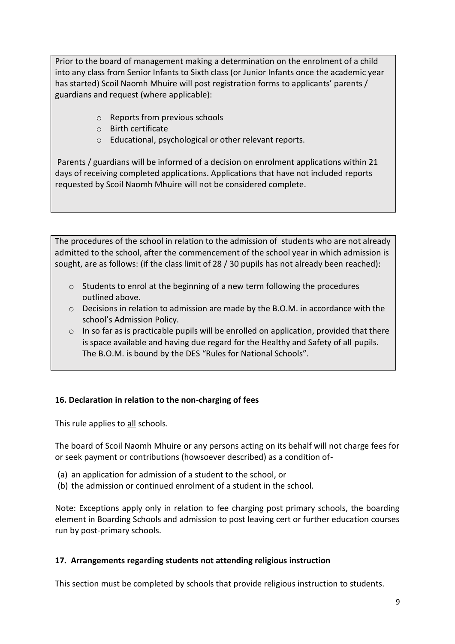Prior to the board of management making a determination on the enrolment of a child into any class from Senior Infants to Sixth class (or Junior Infants once the academic year has started) Scoil Naomh Mhuire will post registration forms to applicants' parents / guardians and request (where applicable):

- o Reports from previous schools
- o Birth certificate
- o Educational, psychological or other relevant reports.

Parents / guardians will be informed of a decision on enrolment applications within 21 days of receiving completed applications. Applications that have not included reports requested by Scoil Naomh Mhuire will not be considered complete.

The procedures of the school in relation to the admission of students who are not already admitted to the school, after the commencement of the school year in which admission is sought, are as follows: (if the class limit of 28 / 30 pupils has not already been reached):

- $\circ$  Students to enrol at the beginning of a new term following the procedures outlined above.
- $\circ$  Decisions in relation to admission are made by the B.O.M. in accordance with the school's Admission Policy.
- o In so far as is practicable pupils will be enrolled on application, provided that there is space available and having due regard for the Healthy and Safety of all pupils. The B.O.M. is bound by the DES "Rules for National Schools".

## <span id="page-8-0"></span>**16. Declaration in relation to the non-charging of fees**

This rule applies to all schools.

The board of Scoil Naomh Mhuire or any persons acting on its behalf will not charge fees for or seek payment or contributions (howsoever described) as a condition of-

- (a) an application for admission of a student to the school, or
- (b) the admission or continued enrolment of a student in the school.

Note: Exceptions apply only in relation to fee charging post primary schools, the boarding element in Boarding Schools and admission to post leaving cert or further education courses run by post-primary schools.

#### **17. Arrangements regarding students not attending religious instruction**

This section must be completed by schools that provide religious instruction to students.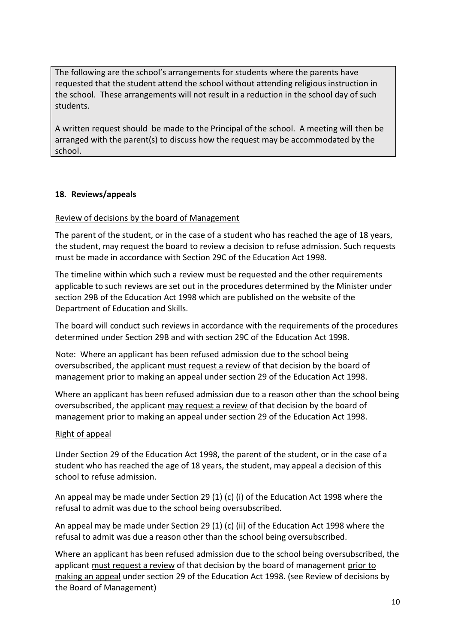The following are the school's arrangements for students where the parents have requested that the student attend the school without attending religious instruction in the school. These arrangements will not result in a reduction in the school day of such students.

A written request should be made to the Principal of the school. A meeting will then be arranged with the parent(s) to discuss how the request may be accommodated by the school.

# <span id="page-9-0"></span>**18. Reviews/appeals**

## Review of decisions by the board of Management

The parent of the student, or in the case of a student who has reached the age of 18 years, the student, may request the board to review a decision to refuse admission. Such requests must be made in accordance with Section 29C of the Education Act 1998.

The timeline within which such a review must be requested and the other requirements applicable to such reviews are set out in the procedures determined by the Minister under section 29B of the Education Act 1998 which are published on the website of the Department of Education and Skills.

The board will conduct such reviews in accordance with the requirements of the procedures determined under Section 29B and with section 29C of the Education Act 1998.

Note: Where an applicant has been refused admission due to the school being oversubscribed, the applicant must request a review of that decision by the board of management prior to making an appeal under section 29 of the Education Act 1998.

Where an applicant has been refused admission due to a reason other than the school being oversubscribed, the applicant may request a review of that decision by the board of management prior to making an appeal under section 29 of the Education Act 1998.

## Right of appeal

Under Section 29 of the Education Act 1998, the parent of the student, or in the case of a student who has reached the age of 18 years, the student, may appeal a decision of this school to refuse admission.

An appeal may be made under Section 29 (1) (c) (i) of the Education Act 1998 where the refusal to admit was due to the school being oversubscribed.

An appeal may be made under Section 29 (1) (c) (ii) of the Education Act 1998 where the refusal to admit was due a reason other than the school being oversubscribed.

Where an applicant has been refused admission due to the school being oversubscribed, the applicant must request a review of that decision by the board of management prior to making an appeal under section 29 of the Education Act 1998. (see Review of decisions by the Board of Management)